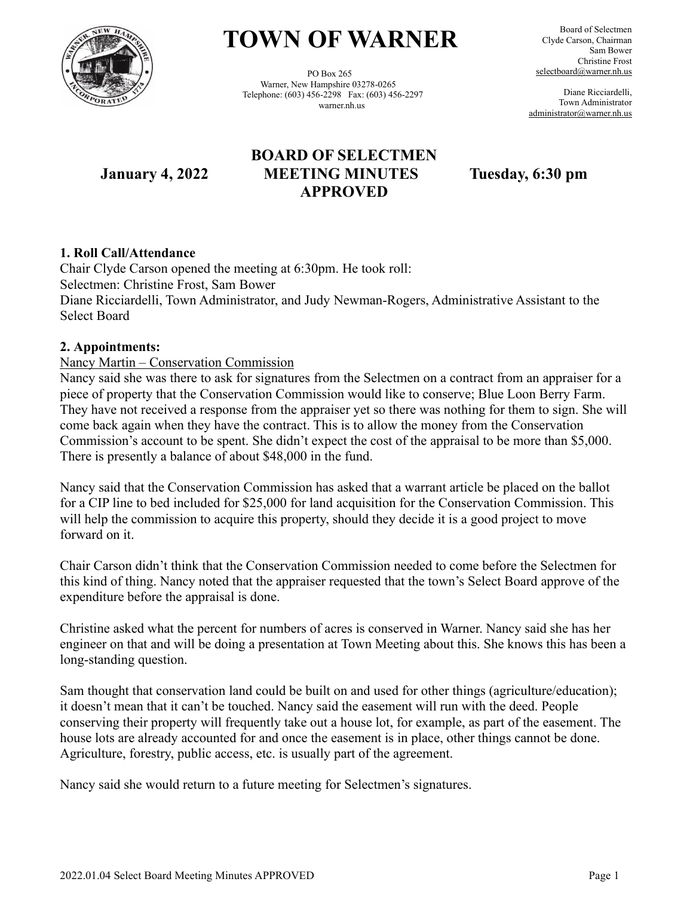

# **TOWN OF WARNER**

 PO Box 265 Warner, New Hampshire 03278-0265 Telephone: (603) 456-2298 Fax: (603) 456-2297 warner.nh.us

 Board of Selectmen Clyde Carson, Chairman Sam Bower Christine Frost selectboard@warner.nh.us

 Diane Ricciardelli, Town Administrator [administrator@warner.nh.us](mailto:administrator@warner.nh.us)

# **BOARD OF SELECTMEN January 4, 2022 MEETING MINUTES Tuesday, 6:30 pm APPROVED**

# **1. Roll Call/Attendance**

Chair Clyde Carson opened the meeting at 6:30pm. He took roll: Selectmen: Christine Frost, Sam Bower Diane Ricciardelli, Town Administrator, and Judy Newman-Rogers, Administrative Assistant to the Select Board

## **2. Appointments:**

## Nancy Martin – Conservation Commission

Nancy said she was there to ask for signatures from the Selectmen on a contract from an appraiser for a piece of property that the Conservation Commission would like to conserve; Blue Loon Berry Farm. They have not received a response from the appraiser yet so there was nothing for them to sign. She will come back again when they have the contract. This is to allow the money from the Conservation Commission's account to be spent. She didn't expect the cost of the appraisal to be more than \$5,000. There is presently a balance of about \$48,000 in the fund.

Nancy said that the Conservation Commission has asked that a warrant article be placed on the ballot for a CIP line to bed included for \$25,000 for land acquisition for the Conservation Commission. This will help the commission to acquire this property, should they decide it is a good project to move forward on it.

Chair Carson didn't think that the Conservation Commission needed to come before the Selectmen for this kind of thing. Nancy noted that the appraiser requested that the town's Select Board approve of the expenditure before the appraisal is done.

Christine asked what the percent for numbers of acres is conserved in Warner. Nancy said she has her engineer on that and will be doing a presentation at Town Meeting about this. She knows this has been a long-standing question.

Sam thought that conservation land could be built on and used for other things (agriculture/education); it doesn't mean that it can't be touched. Nancy said the easement will run with the deed. People conserving their property will frequently take out a house lot, for example, as part of the easement. The house lots are already accounted for and once the easement is in place, other things cannot be done. Agriculture, forestry, public access, etc. is usually part of the agreement.

Nancy said she would return to a future meeting for Selectmen's signatures.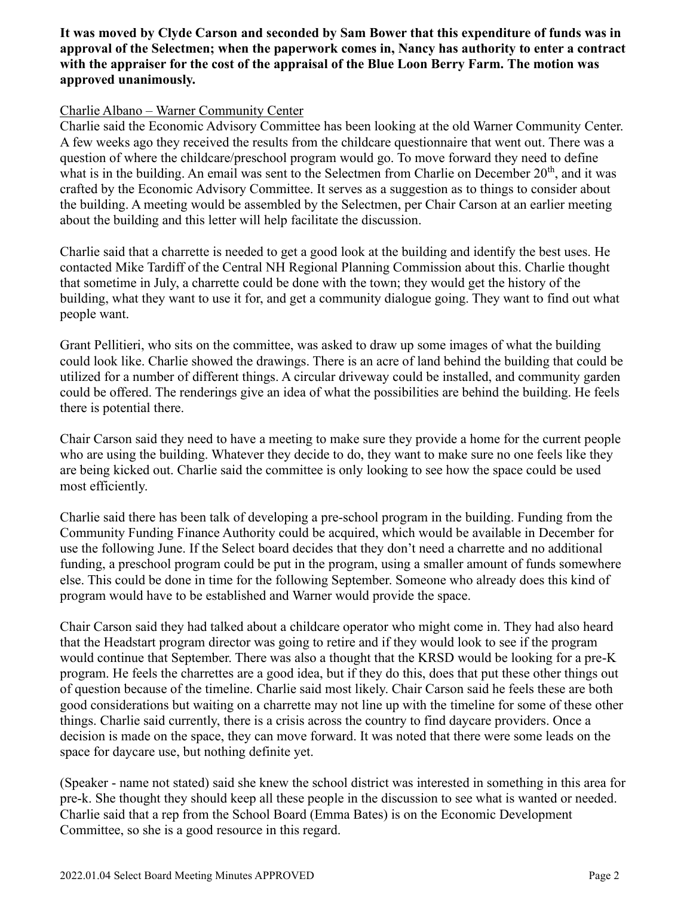**It was moved by Clyde Carson and seconded by Sam Bower that this expenditure of funds was in approval of the Selectmen; when the paperwork comes in, Nancy has authority to enter a contract with the appraiser for the cost of the appraisal of the Blue Loon Berry Farm. The motion was approved unanimously.**

#### Charlie Albano – Warner Community Center

Charlie said the Economic Advisory Committee has been looking at the old Warner Community Center. A few weeks ago they received the results from the childcare questionnaire that went out. There was a question of where the childcare/preschool program would go. To move forward they need to define what is in the building. An email was sent to the Selectmen from Charlie on December  $20<sup>th</sup>$ , and it was crafted by the Economic Advisory Committee. It serves as a suggestion as to things to consider about the building. A meeting would be assembled by the Selectmen, per Chair Carson at an earlier meeting about the building and this letter will help facilitate the discussion.

Charlie said that a charrette is needed to get a good look at the building and identify the best uses. He contacted Mike Tardiff of the Central NH Regional Planning Commission about this. Charlie thought that sometime in July, a charrette could be done with the town; they would get the history of the building, what they want to use it for, and get a community dialogue going. They want to find out what people want.

Grant Pellitieri, who sits on the committee, was asked to draw up some images of what the building could look like. Charlie showed the drawings. There is an acre of land behind the building that could be utilized for a number of different things. A circular driveway could be installed, and community garden could be offered. The renderings give an idea of what the possibilities are behind the building. He feels there is potential there.

Chair Carson said they need to have a meeting to make sure they provide a home for the current people who are using the building. Whatever they decide to do, they want to make sure no one feels like they are being kicked out. Charlie said the committee is only looking to see how the space could be used most efficiently.

Charlie said there has been talk of developing a pre-school program in the building. Funding from the Community Funding Finance Authority could be acquired, which would be available in December for use the following June. If the Select board decides that they don't need a charrette and no additional funding, a preschool program could be put in the program, using a smaller amount of funds somewhere else. This could be done in time for the following September. Someone who already does this kind of program would have to be established and Warner would provide the space.

Chair Carson said they had talked about a childcare operator who might come in. They had also heard that the Headstart program director was going to retire and if they would look to see if the program would continue that September. There was also a thought that the KRSD would be looking for a pre-K program. He feels the charrettes are a good idea, but if they do this, does that put these other things out of question because of the timeline. Charlie said most likely. Chair Carson said he feels these are both good considerations but waiting on a charrette may not line up with the timeline for some of these other things. Charlie said currently, there is a crisis across the country to find daycare providers. Once a decision is made on the space, they can move forward. It was noted that there were some leads on the space for daycare use, but nothing definite yet.

(Speaker - name not stated) said she knew the school district was interested in something in this area for pre-k. She thought they should keep all these people in the discussion to see what is wanted or needed. Charlie said that a rep from the School Board (Emma Bates) is on the Economic Development Committee, so she is a good resource in this regard.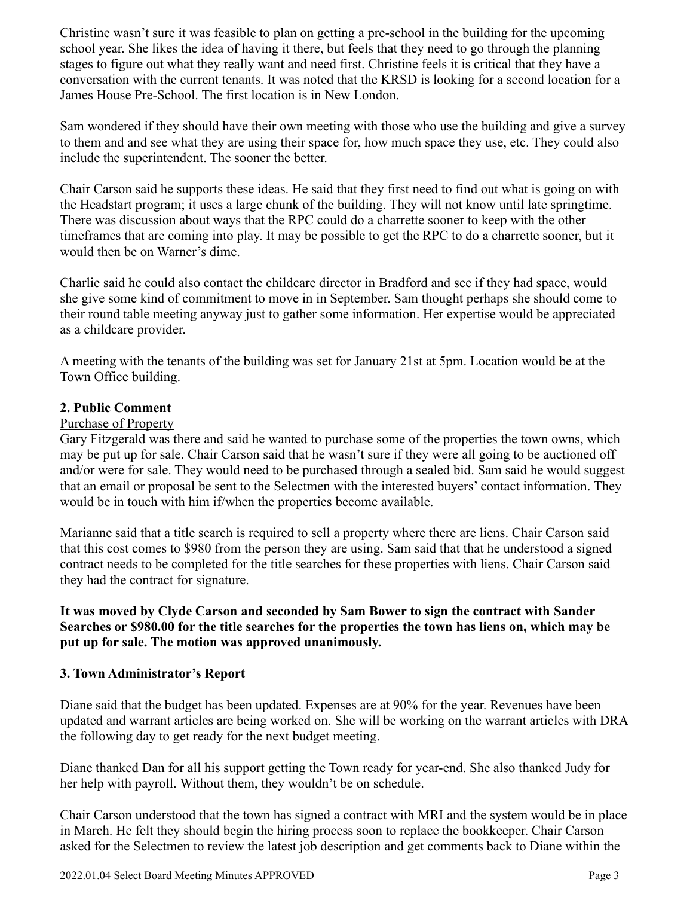Christine wasn't sure it was feasible to plan on getting a pre-school in the building for the upcoming school year. She likes the idea of having it there, but feels that they need to go through the planning stages to figure out what they really want and need first. Christine feels it is critical that they have a conversation with the current tenants. It was noted that the KRSD is looking for a second location for a James House Pre-School. The first location is in New London.

Sam wondered if they should have their own meeting with those who use the building and give a survey to them and and see what they are using their space for, how much space they use, etc. They could also include the superintendent. The sooner the better.

Chair Carson said he supports these ideas. He said that they first need to find out what is going on with the Headstart program; it uses a large chunk of the building. They will not know until late springtime. There was discussion about ways that the RPC could do a charrette sooner to keep with the other timeframes that are coming into play. It may be possible to get the RPC to do a charrette sooner, but it would then be on Warner's dime.

Charlie said he could also contact the childcare director in Bradford and see if they had space, would she give some kind of commitment to move in in September. Sam thought perhaps she should come to their round table meeting anyway just to gather some information. Her expertise would be appreciated as a childcare provider.

A meeting with the tenants of the building was set for January 21st at 5pm. Location would be at the Town Office building.

#### **2. Public Comment**

#### Purchase of Property

Gary Fitzgerald was there and said he wanted to purchase some of the properties the town owns, which may be put up for sale. Chair Carson said that he wasn't sure if they were all going to be auctioned off and/or were for sale. They would need to be purchased through a sealed bid. Sam said he would suggest that an email or proposal be sent to the Selectmen with the interested buyers' contact information. They would be in touch with him if/when the properties become available.

Marianne said that a title search is required to sell a property where there are liens. Chair Carson said that this cost comes to \$980 from the person they are using. Sam said that that he understood a signed contract needs to be completed for the title searches for these properties with liens. Chair Carson said they had the contract for signature.

**It was moved by Clyde Carson and seconded by Sam Bower to sign the contract with Sander Searches or \$980.00 for the title searches for the properties the town has liens on, which may be put up for sale. The motion was approved unanimously.** 

#### **3. Town Administrator's Report**

Diane said that the budget has been updated. Expenses are at 90% for the year. Revenues have been updated and warrant articles are being worked on. She will be working on the warrant articles with DRA the following day to get ready for the next budget meeting.

Diane thanked Dan for all his support getting the Town ready for year-end. She also thanked Judy for her help with payroll. Without them, they wouldn't be on schedule.

Chair Carson understood that the town has signed a contract with MRI and the system would be in place in March. He felt they should begin the hiring process soon to replace the bookkeeper. Chair Carson asked for the Selectmen to review the latest job description and get comments back to Diane within the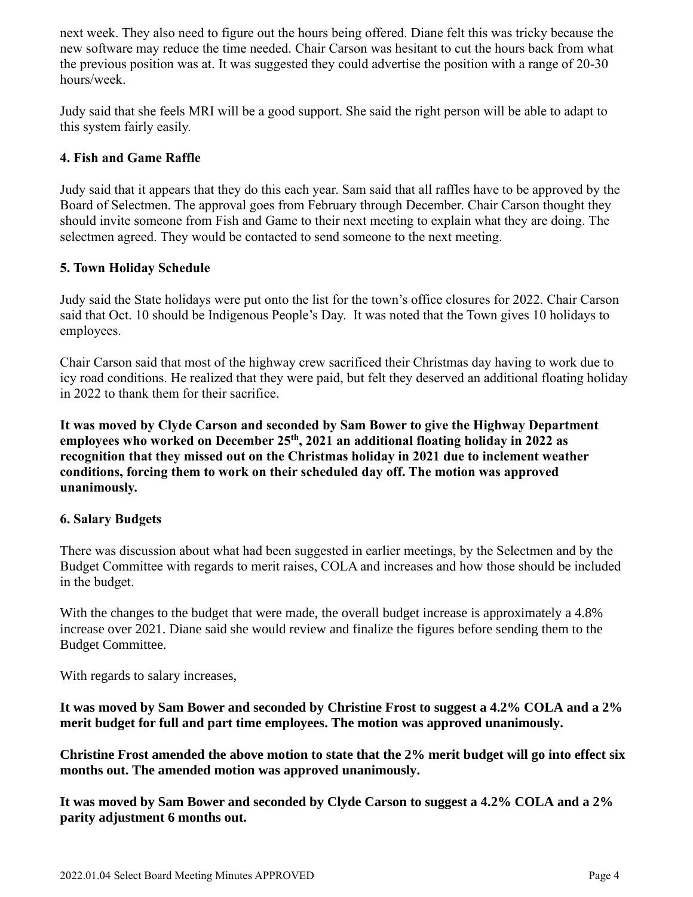next week. They also need to figure out the hours being offered. Diane felt this was tricky because the new software may reduce the time needed. Chair Carson was hesitant to cut the hours back from what the previous position was at. It was suggested they could advertise the position with a range of 20-30 hours/week.

Judy said that she feels MRI will be a good support. She said the right person will be able to adapt to this system fairly easily.

# **4. Fish and Game Raffle**

Judy said that it appears that they do this each year. Sam said that all raffles have to be approved by the Board of Selectmen. The approval goes from February through December. Chair Carson thought they should invite someone from Fish and Game to their next meeting to explain what they are doing. The selectmen agreed. They would be contacted to send someone to the next meeting.

# **5. Town Holiday Schedule**

Judy said the State holidays were put onto the list for the town's office closures for 2022. Chair Carson said that Oct. 10 should be Indigenous People's Day. It was noted that the Town gives 10 holidays to employees.

Chair Carson said that most of the highway crew sacrificed their Christmas day having to work due to icy road conditions. He realized that they were paid, but felt they deserved an additional floating holiday in 2022 to thank them for their sacrifice.

**It was moved by Clyde Carson and seconded by Sam Bower to give the Highway Department employees who worked on December 25th, 2021 an additional floating holiday in 2022 as recognition that they missed out on the Christmas holiday in 2021 due to inclement weather conditions, forcing them to work on their scheduled day off. The motion was approved unanimously.** 

# **6. Salary Budgets**

There was discussion about what had been suggested in earlier meetings, by the Selectmen and by the Budget Committee with regards to merit raises, COLA and increases and how those should be included in the budget.

With the changes to the budget that were made, the overall budget increase is approximately a 4.8% increase over 2021. Diane said she would review and finalize the figures before sending them to the Budget Committee.

With regards to salary increases,

**It was moved by Sam Bower and seconded by Christine Frost to suggest a 4.2% COLA and a 2% merit budget for full and part time employees. The motion was approved unanimously.**

**Christine Frost amended the above motion to state that the 2% merit budget will go into effect six months out. The amended motion was approved unanimously.**

**It was moved by Sam Bower and seconded by Clyde Carson to suggest a 4.2% COLA and a 2% parity adjustment 6 months out.**